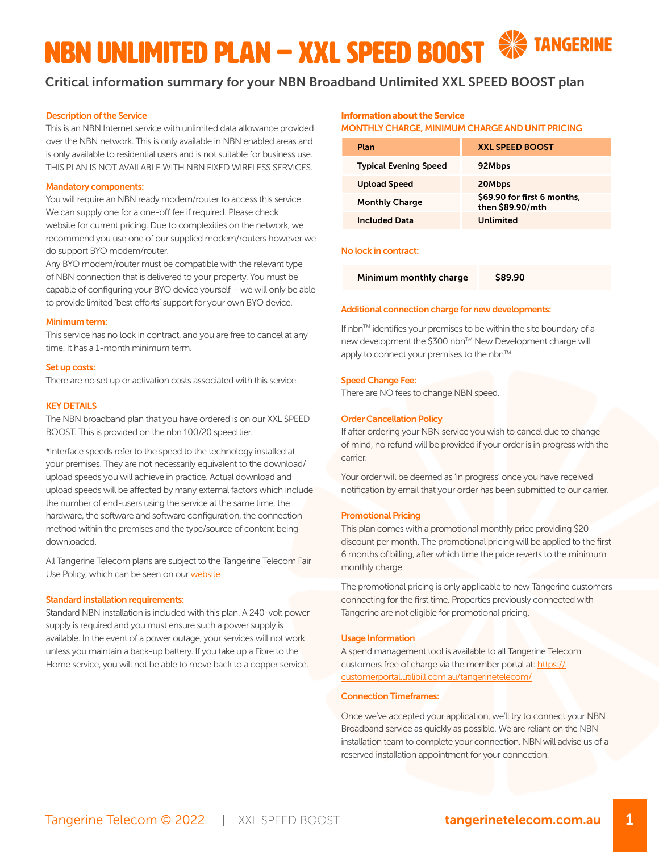# NBN UNLIMITED Plan – XXL SPEED BOOST

# Critical information summary for your NBN Broadband Unlimited XXL SPEED BOOST plan

# Description of the Service

This is an NBN Internet service with unlimited data allowance provided over the NBN network. This is only available in NBN enabled areas and is only available to residential users and is not suitable for business use. THIS PLAN IS NOT AVAILABLE WITH NBN FIXED WIRELESS SERVICES.

### Mandatory components:

You will require an NBN ready modem/router to access this service. We can supply one for a one-off fee if required. Please check website for current pricing. Due to complexities on the network, we recommend you use one of our supplied modem/routers however we do support BYO modem/router.

Any BYO modem/router must be compatible with the relevant type of NBN connection that is delivered to your property. You must be capable of configuring your BYO device yourself – we will only be able to provide limited 'best efforts' support for your own BYO device.

#### Minimum term:

This service has no lock in contract, and you are free to cancel at any time. It has a 1-month minimum term.

#### Set up costs:

There are no set up or activation costs associated with this service.

#### **KEY DETAILS**

The NBN broadband plan that you have ordered is on our XXL SPEED BOOST. This is provided on the nbn 100/20 speed tier.

\*Interface speeds refer to the speed to the technology installed at your premises. They are not necessarily equivalent to the download/ upload speeds you will achieve in practice. Actual download and upload speeds will be affected by many external factors which include the number of end-users using the service at the same time, the hardware, the software and software configuration, the connection method within the premises and the type/source of content being downloaded.

All Tangerine Telecom plans are subject to the Tangerine Telecom Fair Use Policy, which can be seen on our [website](https://www.tangerinetelecom.com.au/policies)

#### Standard installation requirements:

Standard NBN installation is included with this plan. A 240-volt power supply is required and you must ensure such a power supply is available. In the event of a power outage, your services will not work unless you maintain a back-up battery. If you take up a Fibre to the Home service, you will not be able to move back to a copper service.

# Information about the Service

MONTHLY CHARGE, MINIMUM CHARGE AND UNIT PRICING

| Plan                         | <b>XXL SPEED BOOST</b>                          |
|------------------------------|-------------------------------------------------|
| <b>Typical Evening Speed</b> | 92Mbps                                          |
| <b>Upload Speed</b>          | 20Mbps                                          |
| <b>Monthly Charge</b>        | \$69.90 for first 6 months,<br>then \$89.90/mth |
| <b>Included Data</b>         | Unlimited                                       |

#### No lock in contract:

Minimum monthly charge \$89.90

#### Additional connection charge for new developments:

If nbn<sup>TM</sup> identifies your premises to be within the site boundary of a new development the \$300 nbn™ New Development charge will apply to connect your premises to the nbn™.

# Speed Change Fee:

There are NO fees to change NBN speed.

# Order Cancellation Policy

If after ordering your NBN service you wish to cancel due to change of mind, no refund will be provided if your order is in progress with the carrier.

Your order will be deemed as 'in progress' once you have received notification by email that your order has been submitted to our carrier.

#### Promotional Pricing

This plan comes with a promotional monthly price providing \$20 discount per month. The promotional pricing will be applied to the first 6 months of billing, after which time the price reverts to the minimum monthly charge.

The promotional pricing is only applicable to new Tangerine customers connecting for the first time. Properties previously connected with Tangerine are not eligible for promotional pricing.

#### Usage Information

A spend management tool is available to all Tangerine Telecom customers free of charge via the member portal at: [https://](https://customerportal.utilibill.com.au/tangerinetelecom/ ) [customerportal.utilibill.com.au/tangerinetelecom/](https://customerportal.utilibill.com.au/tangerinetelecom/ )

#### Connection Timeframes:

Once we've accepted your application, we'll try to connect your NBN Broadband service as quickly as possible. We are reliant on the NBN installation team to complete your connection. NBN will advise us of a reserved installation appointment for your connection.